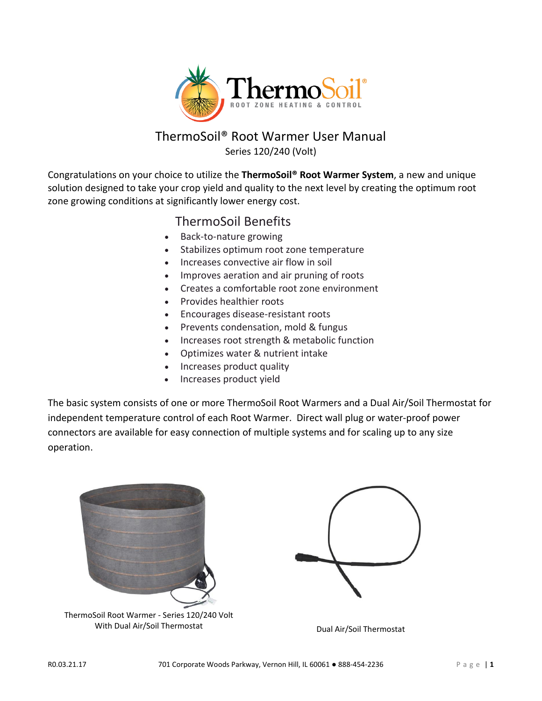

# ThermoSoil® Root Warmer User Manual Series 120/240 (Volt)

Congratulations on your choice to utilize the **ThermoSoil® Root Warmer System**, a new and unique solution designed to take your crop yield and quality to the next level by creating the optimum root zone growing conditions at significantly lower energy cost.

# ThermoSoil Benefits

- Back-to-nature growing
- Stabilizes optimum root zone temperature
- Increases convective air flow in soil
- Improves aeration and air pruning of roots
- Creates a comfortable root zone environment
- Provides healthier roots
- Encourages disease-resistant roots
- Prevents condensation, mold & fungus
- Increases root strength & metabolic function
- Optimizes water & nutrient intake
- Increases product quality
- Increases product yield

The basic system consists of one or more ThermoSoil Root Warmers and a Dual Air/Soil Thermostat for independent temperature control of each Root Warmer. Direct wall plug or water-proof power connectors are available for easy connection of multiple systems and for scaling up to any size operation.



ThermoSoil Root Warmer - Series 120/240 Volt With Dual Air/Soil Thermostat Dual Air/Soil Thermostat

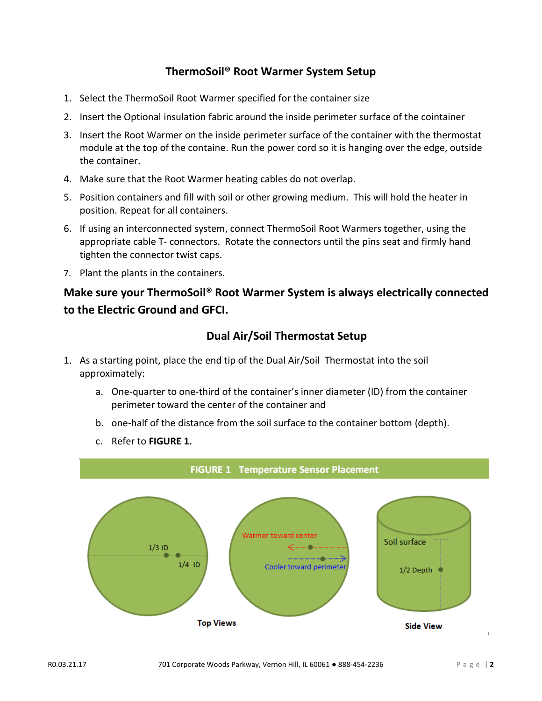## **ThermoSoil® Root Warmer System Setup**

- 1. Select the ThermoSoil Root Warmer specified for the container size
- 2. Insert the Optional insulation fabric around the inside perimeter surface of the cointainer
- 3. Insert the Root Warmer on the inside perimeter surface of the container with the thermostat module at the top of the containe. Run the power cord so it is hanging over the edge, outside the container.
- 4. Make sure that the Root Warmer heating cables do not overlap.
- 5. Position containers and fill with soil or other growing medium. This will hold the heater in position. Repeat for all containers.
- 6. If using an interconnected system, connect ThermoSoil Root Warmers together, using the appropriate cable T- connectors. Rotate the connectors until the pins seat and firmly hand tighten the connector twist caps.
- 7. Plant the plants in the containers.

# **Make sure your ThermoSoil® Root Warmer System is always electrically connected to the Electric Ground and GFCI.**

### **Dual Air/Soil Thermostat Setup**

- 1. As a starting point, place the end tip of the Dual Air/Soil Thermostat into the soil approximately:
	- a. One-quarter to one-third of the container's inner diameter (ID) from the container perimeter toward the center of the container and
	- b. one-half of the distance from the soil surface to the container bottom (depth).
	- c. Refer to **FIGURE 1.**

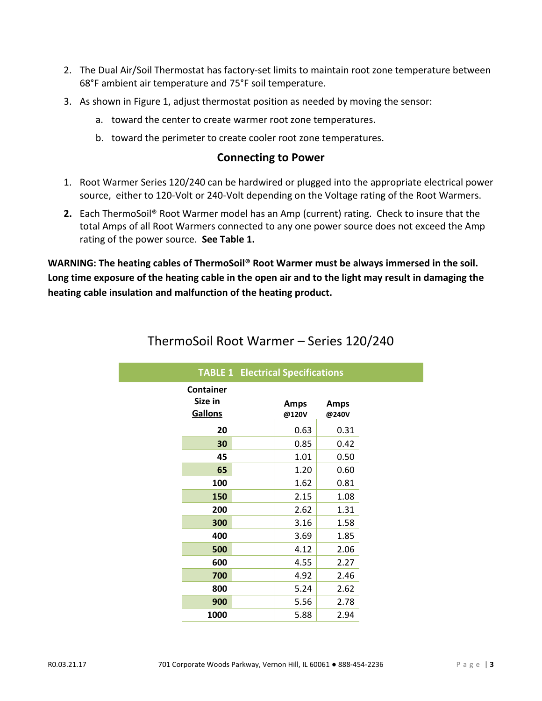- 2. The Dual Air/Soil Thermostat has factory-set limits to maintain root zone temperature between 68°F ambient air temperature and 75°F soil temperature.
- 3. As shown in Figure 1, adjust thermostat position as needed by moving the sensor:
	- a. toward the center to create warmer root zone temperatures.
	- b. toward the perimeter to create cooler root zone temperatures.

#### **Connecting to Power**

- 1. Root Warmer Series 120/240 can be hardwired or plugged into the appropriate electrical power source, either to 120-Volt or 240-Volt depending on the Voltage rating of the Root Warmers.
- **2.** Each ThermoSoil® Root Warmer model has an Amp (current) rating. Check to insure that the total Amps of all Root Warmers connected to any one power source does not exceed the Amp rating of the power source. **See Table 1.**

**WARNING: The heating cables of ThermoSoil® Root Warmer must be always immersed in the soil. Long time exposure of the heating cable in the open air and to the light may result in damaging the heating cable insulation and malfunction of the heating product.**

| <b>TABLE 1 Electrical Specifications</b> |  |                      |                      |
|------------------------------------------|--|----------------------|----------------------|
| <b>Container</b><br>Size in<br>Gallons   |  | <b>Amps</b><br>@120V | <b>Amps</b><br>@240V |
| 20                                       |  | 0.63                 | 0.31                 |
| 30                                       |  | 0.85                 | 0.42                 |
| 45                                       |  | 1.01                 | 0.50                 |
| 65                                       |  | 1.20                 | 0.60                 |
| 100                                      |  | 1.62                 | 0.81                 |
| 150                                      |  | 2.15                 | 1.08                 |
| 200                                      |  | 2.62                 | 1.31                 |
| 300                                      |  | 3.16                 | 1.58                 |
| 400                                      |  | 3.69                 | 1.85                 |
| 500                                      |  | 4.12                 | 2.06                 |
| 600                                      |  | 4.55                 | 2.27                 |
| 700                                      |  | 4.92                 | 2.46                 |
| 800                                      |  | 5.24                 | 2.62                 |
| 900                                      |  | 5.56                 | 2.78                 |
| 1000                                     |  | 5.88                 | 2.94                 |

## ThermoSoil Root Warmer – Series 120/240